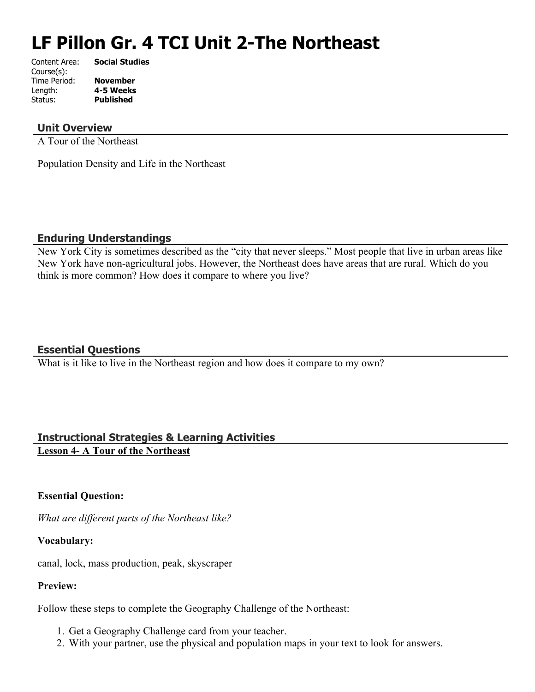# **LF Pillon Gr. 4 TCI Unit 2-The Northeast**

| Content Area: | <b>Social Studies</b> |
|---------------|-----------------------|
| Course(s):    |                       |
| Time Period:  | <b>November</b>       |
| Length:       | 4-5 Weeks             |
| Status:       | <b>Published</b>      |
|               |                       |

# **Unit Overview**

A Tour of the Northeast

Population Density and Life in the Northeast

# **Enduring Understandings**

New York City is sometimes described as the "city that never sleeps." Most people that live in urban areas like New York have non-agricultural jobs. However, the Northeast does have areas that are rural. Which do you think is more common? How does it compare to where you live?

# **Essential Questions**

What is it like to live in the Northeast region and how does it compare to my own?

# **Instructional Strategies & Learning Activities Lesson 4- A Tour of the Northeast**

# **Essential Question:**

*What are different parts of the Northeast like?*

# **Vocabulary:**

canal, lock, mass production, peak, skyscraper

# **Preview:**

Follow these steps to complete the Geography Challenge of the Northeast:

- 1. Get a Geography Challenge card from your teacher.
- 2. With your partner, use the physical and population maps in your text to look for answers.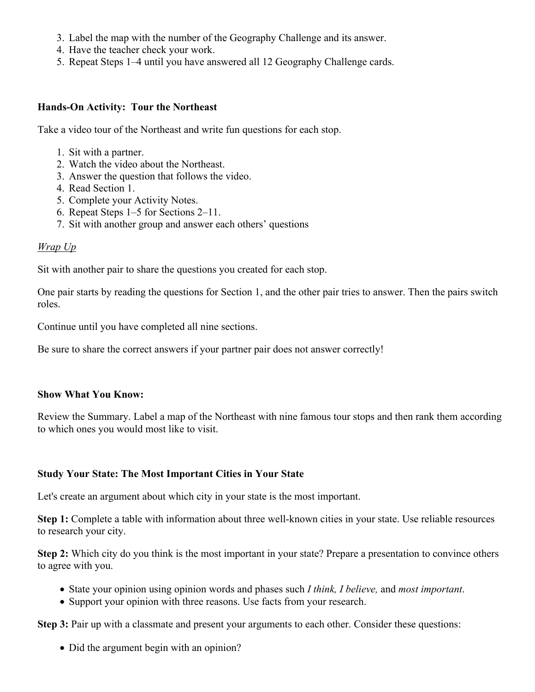- 3. Label the map with the number of the Geography Challenge and its answer.
- 4. Have the teacher check your work.
- 5. Repeat Steps 1–4 until you have answered all 12 Geography Challenge cards.

### **Hands-On Activity: Tour the Northeast**

Take a video tour of the Northeast and write fun questions for each stop.

- 1. Sit with a partner.
- 2. Watch the video about the Northeast.
- 3. Answer the question that follows the video.
- 4. Read Section 1.
- 5. Complete your Activity Notes.
- 6. Repeat Steps 1–5 for Sections 2–11.
- 7. Sit with another group and answer each others' questions

### *Wrap Up*

Sit with another pair to share the questions you created for each stop.

One pair starts by reading the questions for Section 1, and the other pair tries to answer. Then the pairs switch roles.

Continue until you have completed all nine sections.

Be sure to share the correct answers if your partner pair does not answer correctly!

#### **Show What You Know:**

Review the Summary. Label a map of the Northeast with nine famous tour stops and then rank them according to which ones you would most like to visit.

#### **Study Your State: The Most Important Cities in Your State**

Let's create an argument about which city in your state is the most important.

**Step 1:** Complete a table with information about three well-known cities in your state. Use reliable resources to research your city.

**Step 2:** Which city do you think is the most important in your state? Prepare a presentation to convince others to agree with you.

- State your opinion using opinion words and phases such *I think, I believe,* and *most important*.
- Support your opinion with three reasons. Use facts from your research.

**Step 3:** Pair up with a classmate and present your arguments to each other. Consider these questions:

• Did the argument begin with an opinion?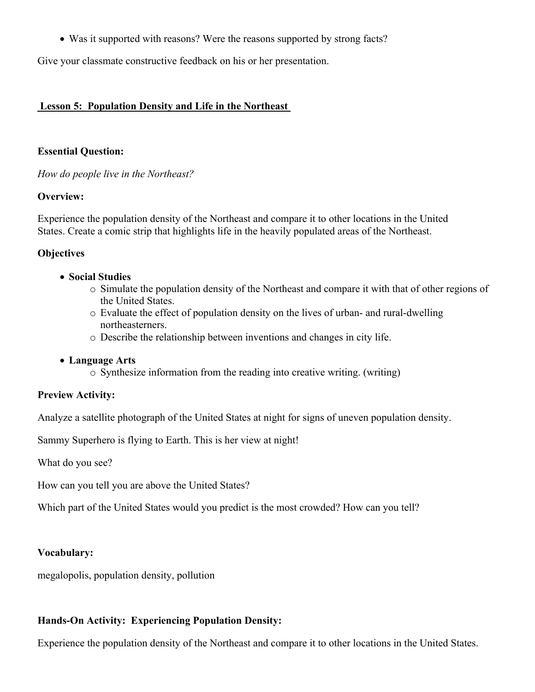Was it supported with reasons? Were the reasons supported by strong facts?

Give your classmate constructive feedback on his or her presentation.

## **Lesson 5: Population Density and Life in the Northeast**

### **Essential Question:**

*How do people live in the Northeast?*

### **Overview:**

Experience the population density of the Northeast and compare it to other locations in the United States. Create a comic strip that highlights life in the heavily populated areas of the Northeast.

# **Objectives**

- **Social Studies** 
	- o Simulate the population density of the Northeast and compare it with that of other regions of the United States.
	- o Evaluate the effect of population density on the lives of urban- and rural-dwelling northeasterners.
	- o Describe the relationship between inventions and changes in city life.

# **Language Arts**

o Synthesize information from the reading into creative writing. (writing)

# **Preview Activity:**

Analyze a satellite photograph of the United States at night for signs of uneven population density.

Sammy Superhero is flying to Earth. This is her view at night!

What do you see?

How can you tell you are above the United States?

Which part of the United States would you predict is the most crowded? How can you tell?

#### **Vocabulary:**

megalopolis, population density, pollution

# **Hands-On Activity: Experiencing Population Density:**

Experience the population density of the Northeast and compare it to other locations in the United States.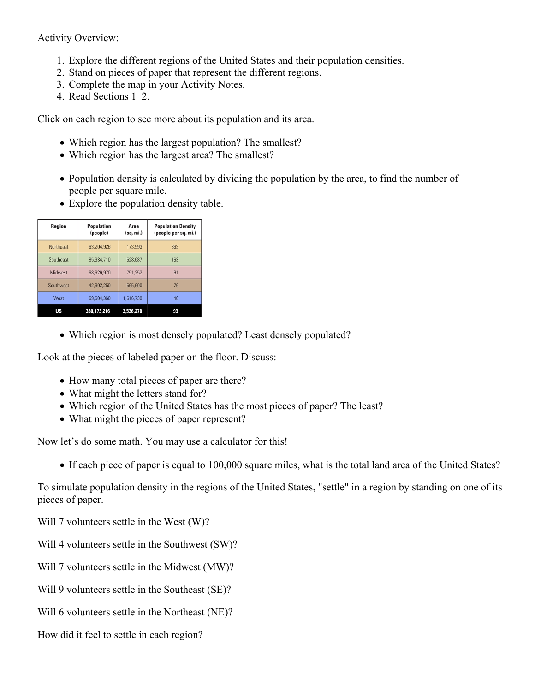Activity Overview:

- 1. Explore the different regions of the United States and their population densities.
- 2. Stand on pieces of paper that represent the different regions.
- 3. Complete the map in your Activity Notes.
- 4. Read Sections 1–2.

Click on each region to see more about its population and its area.

- Which region has the largest population? The smallest?
- Which region has the largest area? The smallest?
- Population density is calculated by dividing the population by the area, to find the number of people per square mile.
- Explore the population density table.

| Region           | <b>Population</b><br>(people) | Area<br>(sq. mi.) | <b>Population Density</b><br>(people per sq. mi.) |
|------------------|-------------------------------|-------------------|---------------------------------------------------|
| <b>Northeast</b> | 63,204,926                    | 173,993           | 363                                               |
| Southeast        | 85,934,710                    | 528,687           | 163                                               |
| Midwest          | 68.626.970                    | 751,252           | 91                                                |
| Southwest        | 42.902.250                    | 565,600           | 76                                                |
| West             | 69.504.360                    | 1,516,738         | 46                                                |
| US               | 330.173.216                   | 3,536,270         | 93                                                |

Which region is most densely populated? Least densely populated?

Look at the pieces of labeled paper on the floor. Discuss:

- How many total pieces of paper are there?
- What might the letters stand for?
- Which region of the United States has the most pieces of paper? The least?
- What might the pieces of paper represent?

Now let's do some math. You may use a calculator for this!

If each piece of paper is equal to 100,000 square miles, what is the total land area of the United States?

To simulate population density in the regions of the United States, "settle" in a region by standing on one of its pieces of paper.

Will 7 volunteers settle in the West (W)?

- Will 4 volunteers settle in the Southwest (SW)?
- Will 7 volunteers settle in the Midwest (MW)?
- Will 9 volunteers settle in the Southeast (SE)?
- Will 6 volunteers settle in the Northeast (NE)?
- How did it feel to settle in each region?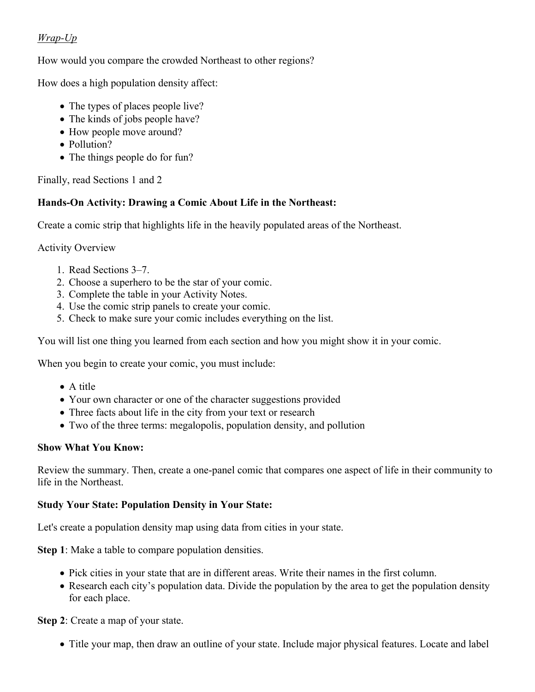# *Wrap-Up*

How would you compare the crowded Northeast to other regions?

How does a high population density affect:

- The types of places people live?
- The kinds of jobs people have?
- How people move around?
- Pollution?
- The things people do for fun?

Finally, read Sections 1 and 2

# **Hands-On Activity: Drawing a Comic About Life in the Northeast:**

Create a comic strip that highlights life in the heavily populated areas of the Northeast.

Activity Overview

- 1. Read Sections 3–7.
- 2. Choose a superhero to be the star of your comic.
- 3. Complete the table in your Activity Notes.
- 4. Use the comic strip panels to create your comic.
- 5. Check to make sure your comic includes everything on the list.

You will list one thing you learned from each section and how you might show it in your comic.

When you begin to create your comic, you must include:

- A title
- Your own character or one of the character suggestions provided
- Three facts about life in the city from your text or research
- Two of the three terms: megalopolis, population density, and pollution

# **Show What You Know:**

Review the summary. Then, create a one-panel comic that compares one aspect of life in their community to life in the Northeast.

# **Study Your State: Population Density in Your State:**

Let's create a population density map using data from cities in your state.

**Step 1**: Make a table to compare population densities.

- Pick cities in your state that are in different areas. Write their names in the first column.
- Research each city's population data. Divide the population by the area to get the population density for each place.

**Step 2**: Create a map of your state.

• Title your map, then draw an outline of your state. Include major physical features. Locate and label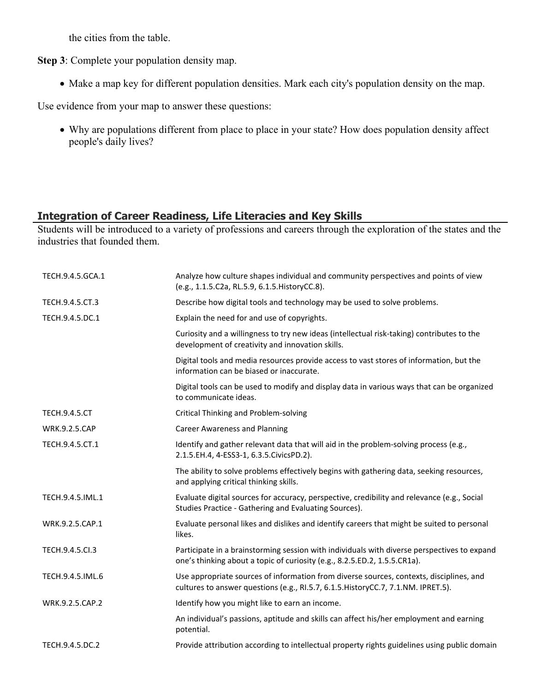the cities from the table.

**Step 3**: Complete your population density map.

• Make a map key for different population densities. Mark each city's population density on the map.

Use evidence from your map to answer these questions:

 Why are populations different from place to place in your state? How does population density affect people's daily lives?

# **Integration of Career Readiness, Life Literacies and Key Skills**

Students will be introduced to a variety of professions and careers through the exploration of the states and the industries that founded them.

| TECH.9.4.5.GCA.1     | Analyze how culture shapes individual and community perspectives and points of view<br>(e.g., 1.1.5.C2a, RL.5.9, 6.1.5. HistoryCC.8).                                        |
|----------------------|------------------------------------------------------------------------------------------------------------------------------------------------------------------------------|
| TECH.9.4.5.CT.3      | Describe how digital tools and technology may be used to solve problems.                                                                                                     |
| TECH.9.4.5.DC.1      | Explain the need for and use of copyrights.                                                                                                                                  |
|                      | Curiosity and a willingness to try new ideas (intellectual risk-taking) contributes to the<br>development of creativity and innovation skills.                               |
|                      | Digital tools and media resources provide access to vast stores of information, but the<br>information can be biased or inaccurate.                                          |
|                      | Digital tools can be used to modify and display data in various ways that can be organized<br>to communicate ideas.                                                          |
| <b>TECH.9.4.5.CT</b> | Critical Thinking and Problem-solving                                                                                                                                        |
| <b>WRK.9.2.5.CAP</b> | <b>Career Awareness and Planning</b>                                                                                                                                         |
| TECH.9.4.5.CT.1      | Identify and gather relevant data that will aid in the problem-solving process (e.g.,<br>2.1.5.EH.4, 4-ESS3-1, 6.3.5.CivicsPD.2).                                            |
|                      | The ability to solve problems effectively begins with gathering data, seeking resources,<br>and applying critical thinking skills.                                           |
| TECH.9.4.5.IML.1     | Evaluate digital sources for accuracy, perspective, credibility and relevance (e.g., Social<br>Studies Practice - Gathering and Evaluating Sources).                         |
| WRK.9.2.5.CAP.1      | Evaluate personal likes and dislikes and identify careers that might be suited to personal<br>likes.                                                                         |
| TECH.9.4.5.Cl.3      | Participate in a brainstorming session with individuals with diverse perspectives to expand<br>one's thinking about a topic of curiosity (e.g., 8.2.5.ED.2, 1.5.5.CR1a).     |
| TECH.9.4.5.IML.6     | Use appropriate sources of information from diverse sources, contexts, disciplines, and<br>cultures to answer questions (e.g., RI.5.7, 6.1.5. HistoryCC.7, 7.1.NM. IPRET.5). |
| WRK.9.2.5.CAP.2      | Identify how you might like to earn an income.                                                                                                                               |
|                      | An individual's passions, aptitude and skills can affect his/her employment and earning<br>potential.                                                                        |
| TECH.9.4.5.DC.2      | Provide attribution according to intellectual property rights guidelines using public domain                                                                                 |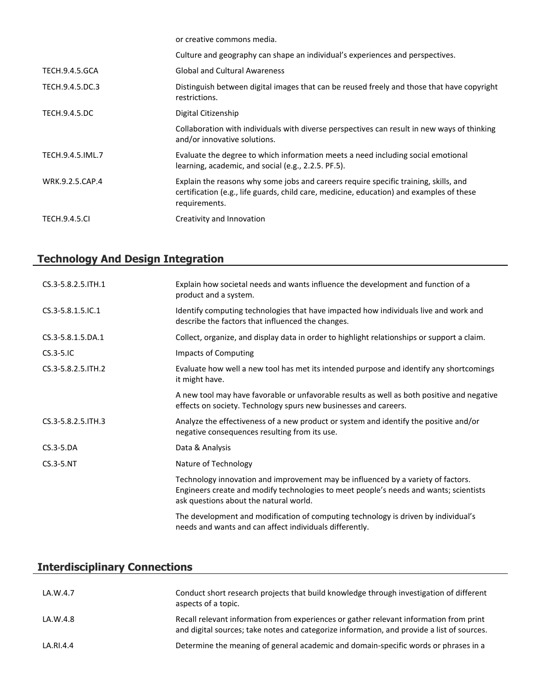|                       | or creative commons media.                                                                                                                                                                        |
|-----------------------|---------------------------------------------------------------------------------------------------------------------------------------------------------------------------------------------------|
|                       | Culture and geography can shape an individual's experiences and perspectives.                                                                                                                     |
| <b>TECH.9.4.5.GCA</b> | <b>Global and Cultural Awareness</b>                                                                                                                                                              |
| TECH.9.4.5.DC.3       | Distinguish between digital images that can be reused freely and those that have copyright<br>restrictions.                                                                                       |
| <b>TECH.9.4.5.DC</b>  | Digital Citizenship                                                                                                                                                                               |
|                       | Collaboration with individuals with diverse perspectives can result in new ways of thinking<br>and/or innovative solutions.                                                                       |
| TECH.9.4.5.IML.7      | Evaluate the degree to which information meets a need including social emotional<br>learning, academic, and social (e.g., 2.2.5. PF.5).                                                           |
| WRK.9.2.5.CAP.4       | Explain the reasons why some jobs and careers require specific training, skills, and<br>certification (e.g., life guards, child care, medicine, education) and examples of these<br>requirements. |
| <b>TECH.9.4.5.CI</b>  | Creativity and Innovation                                                                                                                                                                         |

# **Technology And Design Integration**

| CS.3-5.8.2.5. ITH.1 | Explain how societal needs and wants influence the development and function of a<br>product and a system.                                                                                                           |
|---------------------|---------------------------------------------------------------------------------------------------------------------------------------------------------------------------------------------------------------------|
| CS.3-5.8.1.5.IC.1   | Identify computing technologies that have impacted how individuals live and work and<br>describe the factors that influenced the changes.                                                                           |
| CS.3-5.8.1.5.DA.1   | Collect, organize, and display data in order to highlight relationships or support a claim.                                                                                                                         |
| $CS.3-5.1C$         | <b>Impacts of Computing</b>                                                                                                                                                                                         |
| CS.3-5.8.2.5. ITH.2 | Evaluate how well a new tool has met its intended purpose and identify any shortcomings<br>it might have.                                                                                                           |
|                     | A new tool may have favorable or unfavorable results as well as both positive and negative<br>effects on society. Technology spurs new businesses and careers.                                                      |
| CS.3-5.8.2.5. ITH.3 | Analyze the effectiveness of a new product or system and identify the positive and/or<br>negative consequences resulting from its use.                                                                              |
| $CS.3-5.DA$         | Data & Analysis                                                                                                                                                                                                     |
| $CS.3-5.NT$         | Nature of Technology                                                                                                                                                                                                |
|                     | Technology innovation and improvement may be influenced by a variety of factors.<br>Engineers create and modify technologies to meet people's needs and wants; scientists<br>ask questions about the natural world. |
|                     | The development and modification of computing technology is driven by individual's<br>needs and wants and can affect individuals differently.                                                                       |

# **Interdisciplinary Connections**

| LA.W.4.7  | Conduct short research projects that build knowledge through investigation of different<br>aspects of a topic.                                                                       |
|-----------|--------------------------------------------------------------------------------------------------------------------------------------------------------------------------------------|
| LA.W.4.8  | Recall relevant information from experiences or gather relevant information from print<br>and digital sources; take notes and categorize information, and provide a list of sources. |
| LA.RI.4.4 | Determine the meaning of general academic and domain-specific words or phrases in a                                                                                                  |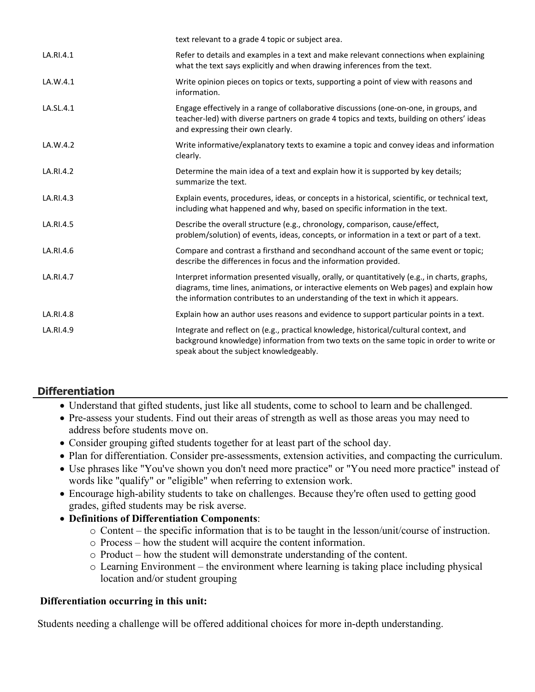|           | text relevant to a grade 4 topic or subject area.                                                                                                                                                                                                                            |
|-----------|------------------------------------------------------------------------------------------------------------------------------------------------------------------------------------------------------------------------------------------------------------------------------|
| LA.RI.4.1 | Refer to details and examples in a text and make relevant connections when explaining<br>what the text says explicitly and when drawing inferences from the text.                                                                                                            |
| LA.W.4.1  | Write opinion pieces on topics or texts, supporting a point of view with reasons and<br>information.                                                                                                                                                                         |
| LA.SL.4.1 | Engage effectively in a range of collaborative discussions (one-on-one, in groups, and<br>teacher-led) with diverse partners on grade 4 topics and texts, building on others' ideas<br>and expressing their own clearly.                                                     |
| LA.W.4.2  | Write informative/explanatory texts to examine a topic and convey ideas and information<br>clearly.                                                                                                                                                                          |
| LA.RI.4.2 | Determine the main idea of a text and explain how it is supported by key details;<br>summarize the text.                                                                                                                                                                     |
| LA.RI.4.3 | Explain events, procedures, ideas, or concepts in a historical, scientific, or technical text,<br>including what happened and why, based on specific information in the text.                                                                                                |
| LA.RI.4.5 | Describe the overall structure (e.g., chronology, comparison, cause/effect,<br>problem/solution) of events, ideas, concepts, or information in a text or part of a text.                                                                                                     |
| LA.RI.4.6 | Compare and contrast a firsthand and secondhand account of the same event or topic;<br>describe the differences in focus and the information provided.                                                                                                                       |
| LA.RI.4.7 | Interpret information presented visually, orally, or quantitatively (e.g., in charts, graphs,<br>diagrams, time lines, animations, or interactive elements on Web pages) and explain how<br>the information contributes to an understanding of the text in which it appears. |
| LA.RI.4.8 | Explain how an author uses reasons and evidence to support particular points in a text.                                                                                                                                                                                      |
| LA.RI.4.9 | Integrate and reflect on (e.g., practical knowledge, historical/cultural context, and<br>background knowledge) information from two texts on the same topic in order to write or<br>speak about the subject knowledgeably.                                                   |

# **Differentiation**

- Understand that gifted students, just like all students, come to school to learn and be challenged.
- Pre-assess your students. Find out their areas of strength as well as those areas you may need to address before students move on.
- Consider grouping gifted students together for at least part of the school day.
- Plan for differentiation. Consider pre-assessments, extension activities, and compacting the curriculum.
- Use phrases like "You've shown you don't need more practice" or "You need more practice" instead of words like "qualify" or "eligible" when referring to extension work.
- Encourage high-ability students to take on challenges. Because they're often used to getting good grades, gifted students may be risk averse.
- **Definitions of Differentiation Components**:
	- o Content the specific information that is to be taught in the lesson/unit/course of instruction.
	- o Process how the student will acquire the content information.
	- o Product how the student will demonstrate understanding of the content.
	- o Learning Environment the environment where learning is taking place including physical location and/or student grouping

# **Differentiation occurring in this unit:**

Students needing a challenge will be offered additional choices for more in-depth understanding.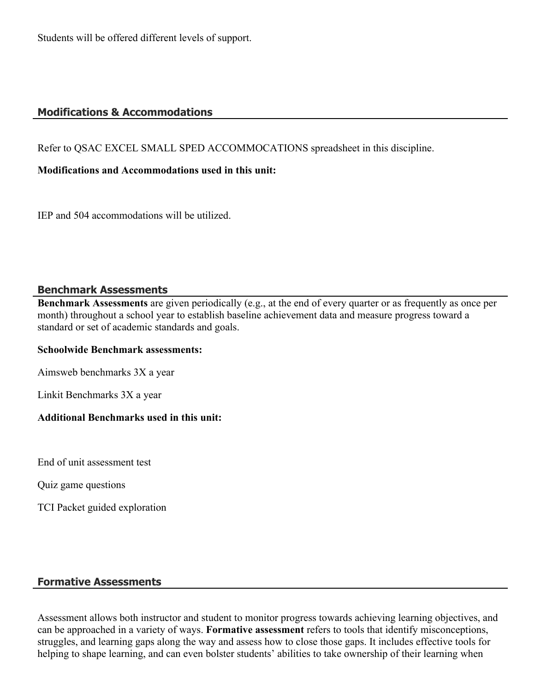Students will be offered different levels of support.

# **Modifications & Accommodations**

Refer to QSAC EXCEL SMALL SPED ACCOMMOCATIONS spreadsheet in this discipline.

# **Modifications and Accommodations used in this unit:**

IEP and 504 accommodations will be utilized.

# **Benchmark Assessments**

**Benchmark Assessments** are given periodically (e.g., at the end of every quarter or as frequently as once per month) throughout a school year to establish baseline achievement data and measure progress toward a standard or set of academic standards and goals.

#### **Schoolwide Benchmark assessments:**

Aimsweb benchmarks 3X a year

Linkit Benchmarks 3X a year

# **Additional Benchmarks used in this unit:**

End of unit assessment test

Quiz game questions

TCI Packet guided exploration

# **Formative Assessments**

Assessment allows both instructor and student to monitor progress towards achieving learning objectives, and can be approached in a variety of ways. **Formative assessment** refers to tools that identify misconceptions, struggles, and learning gaps along the way and assess how to close those gaps. It includes effective tools for helping to shape learning, and can even bolster students' abilities to take ownership of their learning when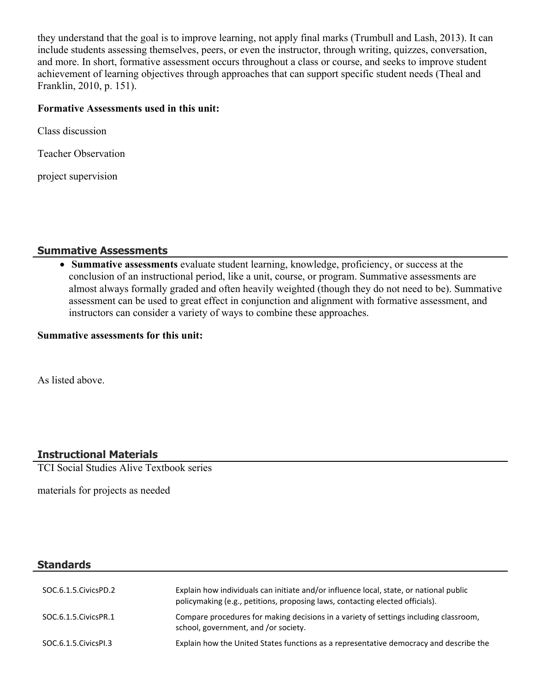they understand that the goal is to improve learning, not apply final marks (Trumbull and Lash, 2013). It can include students assessing themselves, peers, or even the instructor, through writing, quizzes, conversation, and more. In short, formative assessment occurs throughout a class or course, and seeks to improve student achievement of learning objectives through approaches that can support specific student needs (Theal and Franklin, 2010, p. 151).

### **Formative Assessments used in this unit:**

Class discussion

Teacher Observation

project supervision

### **Summative Assessments**

 **Summative assessments** evaluate student learning, knowledge, proficiency, or success at the conclusion of an instructional period, like a unit, course, or program. Summative assessments are almost always formally graded and often heavily weighted (though they do not need to be). Summative assessment can be used to great effect in conjunction and alignment with formative assessment, and instructors can consider a variety of ways to combine these approaches.

#### **Summative assessments for this unit:**

As listed above.

# **Instructional Materials**

TCI Social Studies Alive Textbook series

materials for projects as needed

# **Standards**

| SOC.6.1.5.CivicsPD.2   | Explain how individuals can initiate and/or influence local, state, or national public<br>policymaking (e.g., petitions, proposing laws, contacting elected officials). |
|------------------------|-------------------------------------------------------------------------------------------------------------------------------------------------------------------------|
| SOC.6.1.5. Civics PR.1 | Compare procedures for making decisions in a variety of settings including classroom,<br>school, government, and /or society.                                           |
| SOC.6.1.5. Civics PI.3 | Explain how the United States functions as a representative democracy and describe the                                                                                  |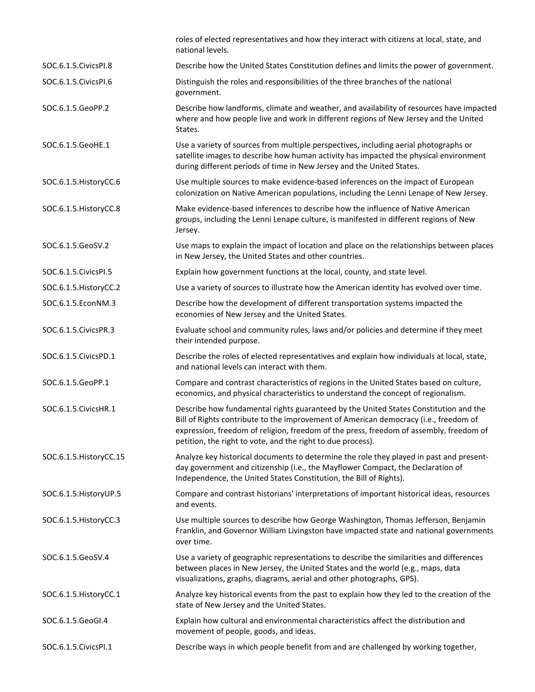|                         | roles of elected representatives and how they interact with citizens at local, state, and<br>national levels.                                                                                                                                                                                                                         |
|-------------------------|---------------------------------------------------------------------------------------------------------------------------------------------------------------------------------------------------------------------------------------------------------------------------------------------------------------------------------------|
| SOC.6.1.5. Civics PI.8  | Describe how the United States Constitution defines and limits the power of government.                                                                                                                                                                                                                                               |
| SOC.6.1.5. Civics PI.6  | Distinguish the roles and responsibilities of the three branches of the national<br>government.                                                                                                                                                                                                                                       |
| SOC.6.1.5.GeoPP.2       | Describe how landforms, climate and weather, and availability of resources have impacted<br>where and how people live and work in different regions of New Jersey and the United<br>States.                                                                                                                                           |
| SOC.6.1.5.GeoHE.1       | Use a variety of sources from multiple perspectives, including aerial photographs or<br>satellite images to describe how human activity has impacted the physical environment<br>during different periods of time in New Jersey and the United States.                                                                                |
| SOC.6.1.5. HistoryCC.6  | Use multiple sources to make evidence-based inferences on the impact of European<br>colonization on Native American populations, including the Lenni Lenape of New Jersey.                                                                                                                                                            |
| SOC.6.1.5. HistoryCC.8  | Make evidence-based inferences to describe how the influence of Native American<br>groups, including the Lenni Lenape culture, is manifested in different regions of New<br>Jersey.                                                                                                                                                   |
| SOC.6.1.5.GeoSV.2       | Use maps to explain the impact of location and place on the relationships between places<br>in New Jersey, the United States and other countries.                                                                                                                                                                                     |
| SOC.6.1.5. Civics PI.5  | Explain how government functions at the local, county, and state level.                                                                                                                                                                                                                                                               |
| SOC.6.1.5. HistoryCC.2  | Use a variety of sources to illustrate how the American identity has evolved over time.                                                                                                                                                                                                                                               |
| SOC.6.1.5.EconNM.3      | Describe how the development of different transportation systems impacted the<br>economies of New Jersey and the United States.                                                                                                                                                                                                       |
| SOC.6.1.5. Civics PR.3  | Evaluate school and community rules, laws and/or policies and determine if they meet<br>their intended purpose.                                                                                                                                                                                                                       |
| SOC.6.1.5. CivicsPD.1   | Describe the roles of elected representatives and explain how individuals at local, state,<br>and national levels can interact with them.                                                                                                                                                                                             |
| SOC.6.1.5.GeoPP.1       | Compare and contrast characteristics of regions in the United States based on culture,<br>economics, and physical characteristics to understand the concept of regionalism.                                                                                                                                                           |
| SOC.6.1.5. Civics HR.1  | Describe how fundamental rights guaranteed by the United States Constitution and the<br>Bill of Rights contribute to the improvement of American democracy (i.e., freedom of<br>expression, freedom of religion, freedom of the press, freedom of assembly, freedom of<br>petition, the right to vote, and the right to due process). |
| SOC.6.1.5. HistoryCC.15 | Analyze key historical documents to determine the role they played in past and present-<br>day government and citizenship (i.e., the Mayflower Compact, the Declaration of<br>Independence, the United States Constitution, the Bill of Rights).                                                                                      |
| SOC.6.1.5. History UP.5 | Compare and contrast historians' interpretations of important historical ideas, resources<br>and events.                                                                                                                                                                                                                              |
| SOC.6.1.5. HistoryCC.3  | Use multiple sources to describe how George Washington, Thomas Jefferson, Benjamin<br>Franklin, and Governor William Livingston have impacted state and national governments<br>over time.                                                                                                                                            |
| SOC.6.1.5.GeoSV.4       | Use a variety of geographic representations to describe the similarities and differences<br>between places in New Jersey, the United States and the world (e.g., maps, data<br>visualizations, graphs, diagrams, aerial and other photographs, GPS).                                                                                  |
| SOC.6.1.5. HistoryCC.1  | Analyze key historical events from the past to explain how they led to the creation of the<br>state of New Jersey and the United States.                                                                                                                                                                                              |
| SOC.6.1.5.GeoGI.4       | Explain how cultural and environmental characteristics affect the distribution and<br>movement of people, goods, and ideas.                                                                                                                                                                                                           |
| SOC.6.1.5. Civics PI.1  | Describe ways in which people benefit from and are challenged by working together,                                                                                                                                                                                                                                                    |